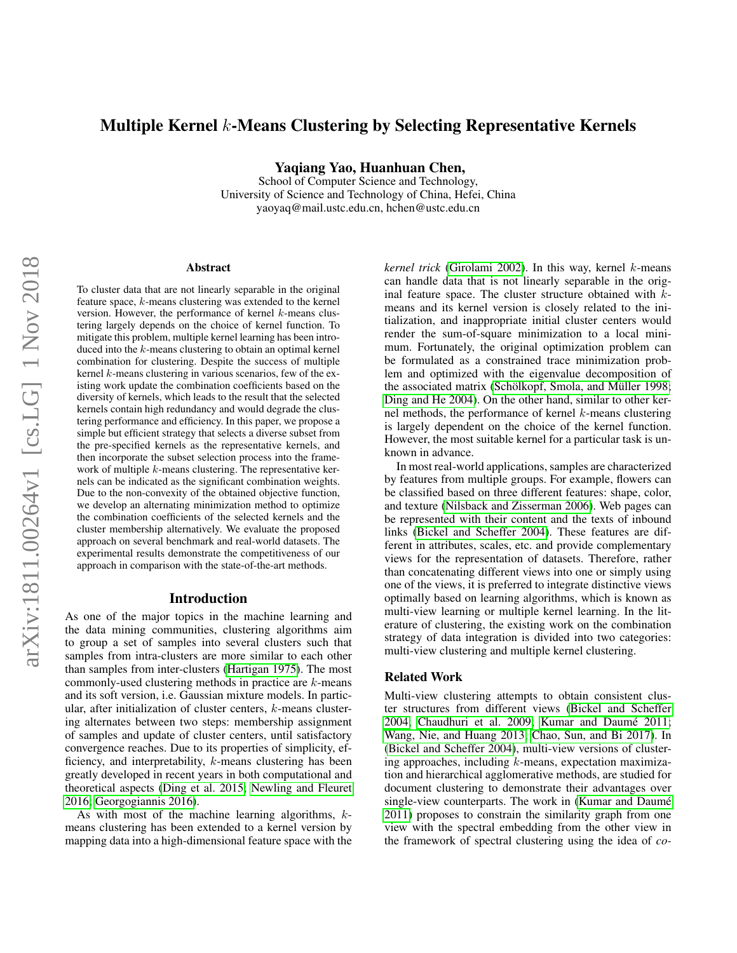# Multiple Kernel k-Means Clustering by Selecting Representative Kernels

Yaqiang Yao, Huanhuan Chen,

School of Computer Science and Technology, University of Science and Technology of China, Hefei, China yaoyaq@mail.ustc.edu.cn, hchen@ustc.edu.cn

#### Abstract

To cluster data that are not linearly separable in the original feature space, k-means clustering was extended to the kernel version. However, the performance of kernel k-means clustering largely depends on the choice of kernel function. To mitigate this problem, multiple kernel learning has been introduced into the k-means clustering to obtain an optimal kernel combination for clustering. Despite the success of multiple kernel  $k$ -means clustering in various scenarios, few of the existing work update the combination coefficients based on the diversity of kernels, which leads to the result that the selected kernels contain high redundancy and would degrade the clustering performance and efficiency. In this paper, we propose a simple but efficient strategy that selects a diverse subset from the pre-specified kernels as the representative kernels, and then incorporate the subset selection process into the framework of multiple k-means clustering. The representative kernels can be indicated as the significant combination weights. Due to the non-convexity of the obtained objective function, we develop an alternating minimization method to optimize the combination coefficients of the selected kernels and the cluster membership alternatively. We evaluate the proposed approach on several benchmark and real-world datasets. The experimental results demonstrate the competitiveness of our approach in comparison with the state-of-the-art methods.

#### Introduction

As one of the major topics in the machine learning and the data mining communities, clustering algorithms aim to group a set of samples into several clusters such that samples from intra-clusters are more similar to each other than samples from inter-clusters [\(Hartigan 1975\)](#page-7-0). The most commonly-used clustering methods in practice are k-means and its soft version, i.e. Gaussian mixture models. In particular, after initialization of cluster centers, k-means clustering alternates between two steps: membership assignment of samples and update of cluster centers, until satisfactory convergence reaches. Due to its properties of simplicity, efficiency, and interpretability, k-means clustering has been greatly developed in recent years in both computational and theoretical aspects [\(Ding et al. 2015;](#page-7-1) [Newling and Fleuret](#page-7-2) [2016;](#page-7-2) [Georgogiannis 2016\)](#page-7-3).

As with most of the machine learning algorithms, kmeans clustering has been extended to a kernel version by mapping data into a high-dimensional feature space with the *kernel trick* [\(Girolami 2002\)](#page-7-4). In this way, kernel k-means can handle data that is not linearly separable in the original feature space. The cluster structure obtained with  $k$ means and its kernel version is closely related to the initialization, and inappropriate initial cluster centers would render the sum-of-square minimization to a local minimum. Fortunately, the original optimization problem can be formulated as a constrained trace minimization problem and optimized with the eigenvalue decomposition of the associated matrix (Schölkopf, Smola, and Müller 1998; [Ding and He 2004\)](#page-7-6). On the other hand, similar to other kernel methods, the performance of kernel k-means clustering is largely dependent on the choice of the kernel function. However, the most suitable kernel for a particular task is unknown in advance.

In most real-world applications, samples are characterized by features from multiple groups. For example, flowers can be classified based on three different features: shape, color, and texture [\(Nilsback and Zisserman 2006\)](#page-7-7). Web pages can be represented with their content and the texts of inbound links [\(Bickel and Scheffer 2004\)](#page-7-8). These features are different in attributes, scales, etc. and provide complementary views for the representation of datasets. Therefore, rather than concatenating different views into one or simply using one of the views, it is preferred to integrate distinctive views optimally based on learning algorithms, which is known as multi-view learning or multiple kernel learning. In the literature of clustering, the existing work on the combination strategy of data integration is divided into two categories: multi-view clustering and multiple kernel clustering.

#### Related Work

Multi-view clustering attempts to obtain consistent cluster structures from different views [\(Bickel and Scheffer](#page-7-8) [2004;](#page-7-8) [Chaudhuri et al. 2009;](#page-7-9) Kumar and Daumé 2011; [Wang, Nie, and Huang 2013;](#page-7-11) [Chao, Sun, and Bi 2017\)](#page-7-12). In [\(Bickel and Scheffer 2004\)](#page-7-8), multi-view versions of clustering approaches, including  $k$ -means, expectation maximization and hierarchical agglomerative methods, are studied for document clustering to demonstrate their advantages over single-view counterparts. The work in (Kumar and Daumé [2011\)](#page-7-10) proposes to constrain the similarity graph from one view with the spectral embedding from the other view in the framework of spectral clustering using the idea of *co-*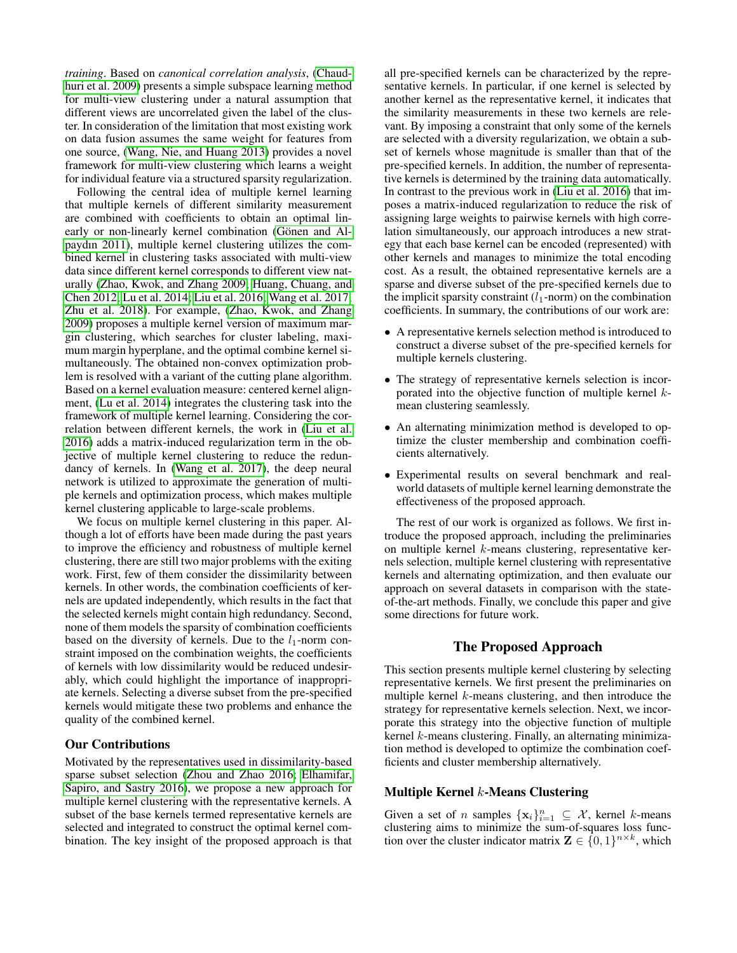*training*. Based on *canonical correlation analysis*, [\(Chaud](#page-7-9)[huri et al. 2009\)](#page-7-9) presents a simple subspace learning method for multi-view clustering under a natural assumption that different views are uncorrelated given the label of the cluster. In consideration of the limitation that most existing work on data fusion assumes the same weight for features from one source, [\(Wang, Nie, and Huang 2013\)](#page-7-11) provides a novel framework for multi-view clustering which learns a weight for individual feature via a structured sparsity regularization.

Following the central idea of multiple kernel learning that multiple kernels of different similarity measurement are combined with coefficients to obtain an optimal linearly or non-linearly kernel combination (Gönen and Al[paydın 2011\)](#page-7-13), multiple kernel clustering utilizes the combined kernel in clustering tasks associated with multi-view data since different kernel corresponds to different view naturally [\(Zhao, Kwok, and Zhang 2009;](#page-7-14) [Huang, Chuang, and](#page-7-15) [Chen 2012;](#page-7-15) [Lu et al. 2014;](#page-7-16) [Liu et al. 2016;](#page-7-17) [Wang et al. 2017;](#page-7-18) [Zhu et al. 2018\)](#page-7-19). For example, [\(Zhao, Kwok, and Zhang](#page-7-14) [2009\)](#page-7-14) proposes a multiple kernel version of maximum margin clustering, which searches for cluster labeling, maximum margin hyperplane, and the optimal combine kernel simultaneously. The obtained non-convex optimization problem is resolved with a variant of the cutting plane algorithm. Based on a kernel evaluation measure: centered kernel alignment, [\(Lu et al. 2014\)](#page-7-16) integrates the clustering task into the framework of multiple kernel learning. Considering the correlation between different kernels, the work in [\(Liu et al.](#page-7-17) [2016\)](#page-7-17) adds a matrix-induced regularization term in the objective of multiple kernel clustering to reduce the redundancy of kernels. In [\(Wang et al. 2017\)](#page-7-18), the deep neural network is utilized to approximate the generation of multiple kernels and optimization process, which makes multiple kernel clustering applicable to large-scale problems.

We focus on multiple kernel clustering in this paper. Although a lot of efforts have been made during the past years to improve the efficiency and robustness of multiple kernel clustering, there are still two major problems with the exiting work. First, few of them consider the dissimilarity between kernels. In other words, the combination coefficients of kernels are updated independently, which results in the fact that the selected kernels might contain high redundancy. Second, none of them models the sparsity of combination coefficients based on the diversity of kernels. Due to the  $l_1$ -norm constraint imposed on the combination weights, the coefficients of kernels with low dissimilarity would be reduced undesirably, which could highlight the importance of inappropriate kernels. Selecting a diverse subset from the pre-specified kernels would mitigate these two problems and enhance the quality of the combined kernel.

# Our Contributions

Motivated by the representatives used in dissimilarity-based sparse subset selection [\(Zhou and Zhao 2016;](#page-7-20) [Elhamifar,](#page-7-21) [Sapiro, and Sastry 2016\)](#page-7-21), we propose a new approach for multiple kernel clustering with the representative kernels. A subset of the base kernels termed representative kernels are selected and integrated to construct the optimal kernel combination. The key insight of the proposed approach is that

all pre-specified kernels can be characterized by the representative kernels. In particular, if one kernel is selected by another kernel as the representative kernel, it indicates that the similarity measurements in these two kernels are relevant. By imposing a constraint that only some of the kernels are selected with a diversity regularization, we obtain a subset of kernels whose magnitude is smaller than that of the pre-specified kernels. In addition, the number of representative kernels is determined by the training data automatically. In contrast to the previous work in [\(Liu et al. 2016\)](#page-7-17) that imposes a matrix-induced regularization to reduce the risk of assigning large weights to pairwise kernels with high correlation simultaneously, our approach introduces a new strategy that each base kernel can be encoded (represented) with other kernels and manages to minimize the total encoding cost. As a result, the obtained representative kernels are a sparse and diverse subset of the pre-specified kernels due to the implicit sparsity constraint  $(l_1\text{-norm})$  on the combination coefficients. In summary, the contributions of our work are:

- A representative kernels selection method is introduced to construct a diverse subset of the pre-specified kernels for multiple kernels clustering.
- The strategy of representative kernels selection is incorporated into the objective function of multiple kernel kmean clustering seamlessly.
- An alternating minimization method is developed to optimize the cluster membership and combination coefficients alternatively.
- Experimental results on several benchmark and realworld datasets of multiple kernel learning demonstrate the effectiveness of the proposed approach.

The rest of our work is organized as follows. We first introduce the proposed approach, including the preliminaries on multiple kernel k-means clustering, representative kernels selection, multiple kernel clustering with representative kernels and alternating optimization, and then evaluate our approach on several datasets in comparison with the stateof-the-art methods. Finally, we conclude this paper and give some directions for future work.

# The Proposed Approach

This section presents multiple kernel clustering by selecting representative kernels. We first present the preliminaries on multiple kernel k-means clustering, and then introduce the strategy for representative kernels selection. Next, we incorporate this strategy into the objective function of multiple kernel k-means clustering. Finally, an alternating minimization method is developed to optimize the combination coefficients and cluster membership alternatively.

# Multiple Kernel  $k$ -Means Clustering

Given a set of *n* samples  $\{x_i\}_{i=1}^n \subseteq \mathcal{X}$ , kernel *k*-means clustering aims to minimize the sum-of-squares loss function over the cluster indicator matrix  $\mathbf{Z} \in \{0,1\}^{n \times k}$ , which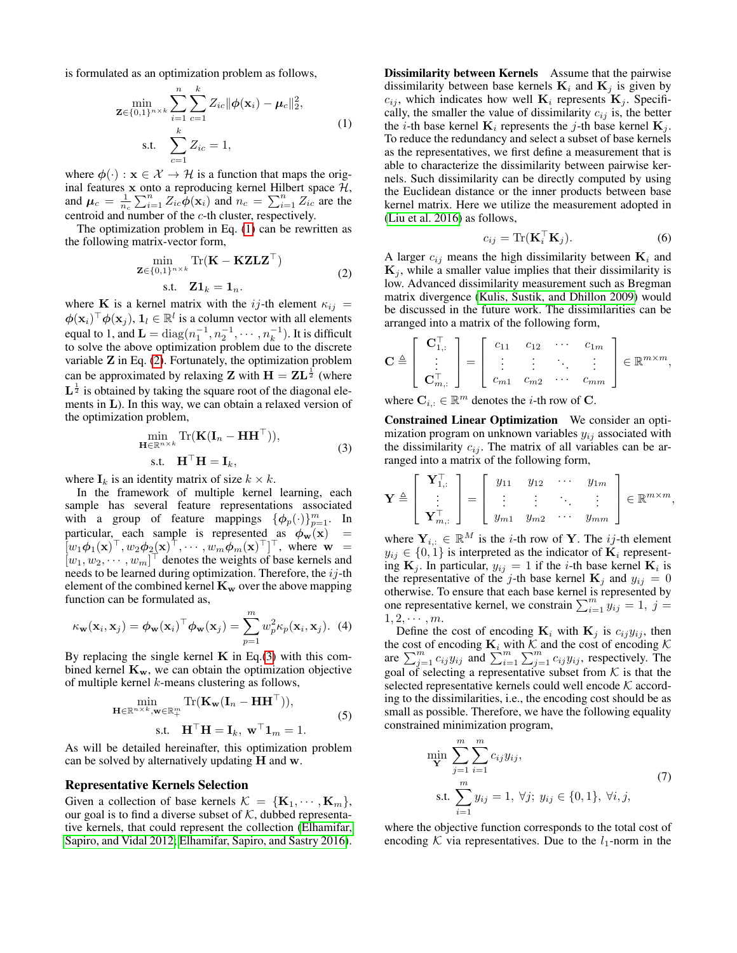is formulated as an optimization problem as follows,

<span id="page-2-0"></span>
$$
\min_{\mathbf{Z} \in \{0,1\}^{n \times k}} \sum_{i=1}^{n} \sum_{c=1}^{k} Z_{ic} ||\phi(\mathbf{x}_i) - \mu_c||_2^2,
$$
\ns.t. 
$$
\sum_{c=1}^{k} Z_{ic} = 1,
$$
\n(1)

where  $\phi(\cdot) : \mathbf{x} \in \mathcal{X} \to \mathcal{H}$  is a function that maps the original features  $x$  onto a reproducing kernel Hilbert space  $H$ , and  $\mu_c = \frac{1}{n_c} \sum_{i=1}^n Z_{ic} \phi(\mathbf{x}_i)$  and  $n_c = \sum_{i=1}^n Z_{ic}$  are the centroid and number of the c-th cluster, respectively.

The optimization problem in Eq. [\(1\)](#page-2-0) can be rewritten as the following matrix-vector form,

<span id="page-2-1"></span>
$$
\min_{\mathbf{Z} \in \{0,1\}^{n \times k}} \text{Tr}(\mathbf{K} - \mathbf{K} \mathbf{Z} \mathbf{L} \mathbf{Z}^{\top})
$$
\ns.t. 
$$
\mathbf{Z} \mathbf{1}_k = \mathbf{1}_n.
$$
\n(2)

where K is a kernel matrix with the ij-th element  $\kappa_{ij}$  =  $\phi(\mathbf{x}_i)^\top \phi(\mathbf{x}_j), \mathbf{1}_l \in \mathbb{R}^l$  is a column vector with all elements equal to 1, and  $\mathbf{L} = \text{diag}(n_1^{-1}, n_2^{-1}, \cdots, n_k^{-1}).$  It is difficult to solve the above optimization problem due to the discrete variable  $Z$  in Eq. [\(2\)](#page-2-1). Fortunately, the optimization problem can be approximated by relaxing **Z** with  $H = ZL^{\frac{1}{2}}$  (where  $\mathbf{L}^{\frac{1}{2}}$  is obtained by taking the square root of the diagonal elements in L). In this way, we can obtain a relaxed version of the optimization problem,

<span id="page-2-2"></span>
$$
\min_{\mathbf{H}\in\mathbb{R}^{n\times k}} \text{Tr}(\mathbf{K}(\mathbf{I}_n - \mathbf{H}\mathbf{H}^{\top})),
$$
\n
$$
\text{s.t.} \quad \mathbf{H}^{\top}\mathbf{H} = \mathbf{I}_k,
$$
\n(3)

where  $I_k$  is an identity matrix of size  $k \times k$ .

In the framework of multiple kernel learning, each sample has several feature representations associated with a group of feature mappings  $\{\phi_p(\cdot)\}_{p=1}^m$ . In particular, each sample is represented as  $\phi_w(x)$  =  $\left[w_1\phi_1(\mathbf{x})^\top, w_2\phi_2(\mathbf{x})^\top, \cdots, w_m\phi_m(\mathbf{x})^\top\right]^\top$ , where  $\mathbf{w} =$  $[w_1, w_2, \dots, w_m]^\top$  denotes the weights of base kernels and needs to be learned during optimization. Therefore, the  $ij$ -th element of the combined kernel  $K_w$  over the above mapping function can be formulated as,

$$
\kappa_{\mathbf{w}}(\mathbf{x}_i, \mathbf{x}_j) = \phi_{\mathbf{w}}(\mathbf{x}_i)^\top \phi_{\mathbf{w}}(\mathbf{x}_j) = \sum_{p=1}^m w_p^2 \kappa_p(\mathbf{x}_i, \mathbf{x}_j).
$$
 (4)

By replacing the single kernel  $\bf{K}$  in Eq.[\(3\)](#page-2-2) with this combined kernel  $K_w$ , we can obtain the optimization objective of multiple kernel k-means clustering as follows,

<span id="page-2-4"></span>
$$
\min_{\mathbf{H} \in \mathbb{R}^{n \times k}, \mathbf{w} \in \mathbb{R}^m_+} \text{Tr}(\mathbf{K}_{\mathbf{w}}(\mathbf{I}_n - \mathbf{H} \mathbf{H}^{\top})),
$$
\n
$$
\text{s.t.} \quad \mathbf{H}^{\top} \mathbf{H} = \mathbf{I}_k, \ \mathbf{w}^{\top} \mathbf{1}_m = 1.
$$
\n(5)

As will be detailed hereinafter, this optimization problem can be solved by alternatively updating  $H$  and w.

#### Representative Kernels Selection

Given a collection of base kernels  $\mathcal{K} = {\mathbf{K}_1, \cdots, \mathbf{K}_m}$ , our goal is to find a diverse subset of  $K$ , dubbed representative kernels, that could represent the collection [\(Elhamifar,](#page-7-22) [Sapiro, and Vidal 2012;](#page-7-22) [Elhamifar, Sapiro, and Sastry 2016\)](#page-7-21). Dissimilarity between Kernels Assume that the pairwise dissimilarity between base kernels  $K_i$  and  $K_j$  is given by  $c_{ij}$ , which indicates how well  $\mathbf{K}_i$  represents  $\mathbf{K}_j$ . Specifically, the smaller the value of dissimilarity  $c_{ij}$  is, the better the *i*-th base kernel  $\mathbf{K}_i$  represents the *j*-th base kernel  $\mathbf{K}_i$ . To reduce the redundancy and select a subset of base kernels as the representatives, we first define a measurement that is able to characterize the dissimilarity between pairwise kernels. Such dissimilarity can be directly computed by using the Euclidean distance or the inner products between base kernel matrix. Here we utilize the measurement adopted in [\(Liu et al. 2016\)](#page-7-17) as follows,

<span id="page-2-5"></span>
$$
c_{ij} = \text{Tr}(\mathbf{K}_i^\top \mathbf{K}_j). \tag{6}
$$

A larger  $c_{ij}$  means the high dissimilarity between  $\mathbf{K}_i$  and  $\mathbf{K}_j$ , while a smaller value implies that their dissimilarity is low. Advanced dissimilarity measurement such as Bregman matrix divergence [\(Kulis, Sustik, and Dhillon 2009\)](#page-7-23) would be discussed in the future work. The dissimilarities can be arranged into a matrix of the following form,

$$
\mathbf{C} \triangleq \left[\begin{array}{c} \mathbf{C}_{1,:}^{\top} \\ \vdots \\ \mathbf{C}_{m,:}^{\top} \end{array}\right] = \left[\begin{array}{cccc} c_{11} & c_{12} & \cdots & c_{1m} \\ \vdots & \vdots & \ddots & \vdots \\ c_{m1} & c_{m2} & \cdots & c_{mm} \end{array}\right] \in \mathbb{R}^{m \times m},
$$

where  $\mathbf{C}_{i,:} \in \mathbb{R}^m$  denotes the *i*-th row of C.

Constrained Linear Optimization We consider an optimization program on unknown variables  $y_{ij}$  associated with the dissimilarity  $c_{ij}$ . The matrix of all variables can be arranged into a matrix of the following form,

$$
\mathbf{Y} \triangleq \left[\begin{array}{c} \mathbf{Y}_{1,:}^{\top} \\ \vdots \\ \mathbf{Y}_{m,:}^{\top} \end{array}\right] = \left[\begin{array}{cccc} y_{11} & y_{12} & \cdots & y_{1m} \\ \vdots & \vdots & \ddots & \vdots \\ y_{m1} & y_{m2} & \cdots & y_{mm} \end{array}\right] \in \mathbb{R}^{m \times m},
$$

where  $Y_{i,:} \in \mathbb{R}^M$  is the *i*-th row of Y. The *ij*-th element  $y_{ij} \in \{0, 1\}$  is interpreted as the indicator of  $\mathbf{K}_i$  representing  $\mathbf{K}_j$ . In particular,  $y_{ij} = 1$  if the *i*-th base kernel  $\mathbf{K}_i$  is the representative of the j-th base kernel  $\mathbf{K}_j$  and  $y_{ij} = 0$ otherwise. To ensure that each base kernel is represented by one representative kernel, we constrain  $\sum_{i=1}^{m} y_{ij} = 1, j =$  $1, 2, \cdots, m$ .

Define the cost of encoding  $\mathbf{K}_i$  with  $\mathbf{K}_j$  is  $c_{ij}y_{ij}$ , then the cost of encoding  $\mathbf{K}_i$  with  $\mathcal{K}$  and the cost of encoding  $\mathcal{K}$ are  $\sum_{j=1}^{m} c_{ij} y_{ij}$  and  $\sum_{i=1}^{m} \sum_{j=1}^{m} c_{ij} y_{ij}$ , respectively. The goal of selecting a representative subset from  $K$  is that the selected representative kernels could well encode  $K$  according to the dissimilarities, i.e., the encoding cost should be as small as possible. Therefore, we have the following equality constrained minimization program,

<span id="page-2-3"></span>
$$
\min_{\mathbf{Y}} \sum_{j=1}^{m} \sum_{i=1}^{m} c_{ij} y_{ij},
$$
\n
$$
\text{s.t. } \sum_{i=1}^{m} y_{ij} = 1, \ \forall j; \ y_{ij} \in \{0, 1\}, \ \forall i, j,
$$
\n
$$
(7)
$$

where the objective function corresponds to the total cost of encoding K via representatives. Due to the  $l_1$ -norm in the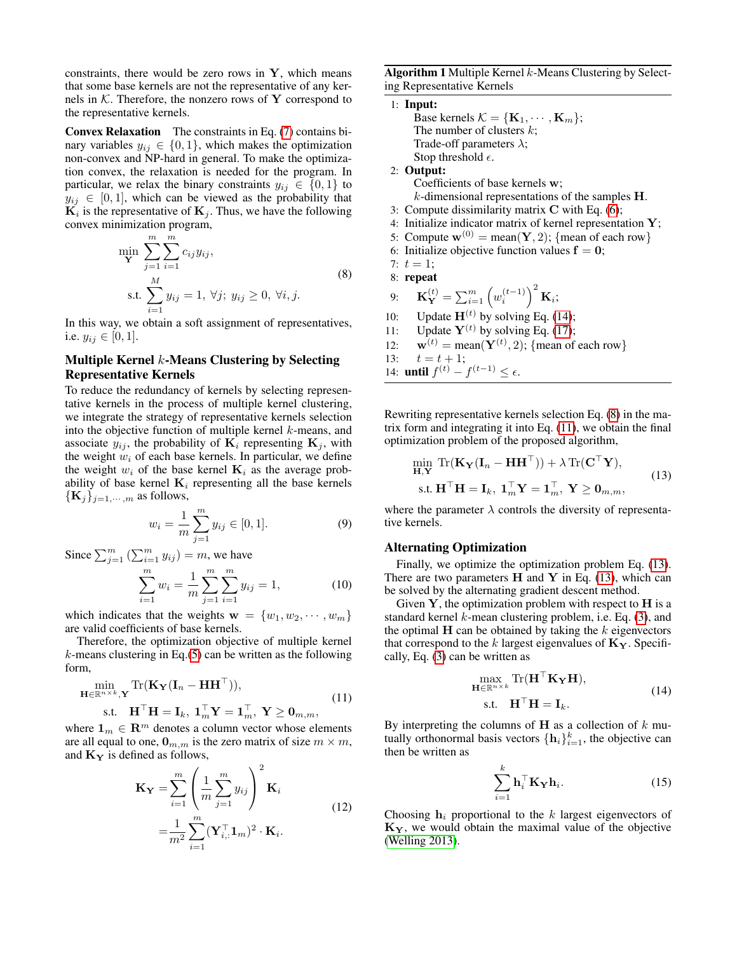constraints, there would be zero rows in  $Y$ , which means that some base kernels are not the representative of any kernels in  $K$ . Therefore, the nonzero rows of Y correspond to the representative kernels.

Convex Relaxation The constraints in Eq. [\(7\)](#page-2-3) contains binary variables  $y_{ij} \in \{0, 1\}$ , which makes the optimization non-convex and NP-hard in general. To make the optimization convex, the relaxation is needed for the program. In particular, we relax the binary constraints  $y_{ij} \in \{0, 1\}$  to  $y_{ij} \in [0, 1]$ , which can be viewed as the probability that  $\mathbf{K}_i$  is the representative of  $\mathbf{K}_j$ . Thus, we have the following convex minimization program,

<span id="page-3-1"></span>
$$
\min_{\mathbf{Y}} \sum_{j=1}^{m} \sum_{i=1}^{m} c_{ij} y_{ij},
$$
\n
$$
\text{s.t.} \sum_{i=1}^{M} y_{ij} = 1, \forall j; \ y_{ij} \ge 0, \forall i, j.
$$
\n(8)

In this way, we obtain a soft assignment of representatives, i.e.  $y_{ij} \in [0, 1]$ .

# Multiple Kernel  $k$ -Means Clustering by Selecting Representative Kernels

To reduce the redundancy of kernels by selecting representative kernels in the process of multiple kernel clustering, we integrate the strategy of representative kernels selection into the objective function of multiple kernel  $k$ -means, and associate  $y_{ij}$ , the probability of  $\mathbf{K}_i$  representing  $\mathbf{K}_i$ , with the weight  $w_i$  of each base kernels. In particular, we define the weight  $w_i$  of the base kernel  $\mathbf{K}_i$  as the average probability of base kernel  $K_i$  representing all the base kernels  $\{K_j\}_{j=1,\cdots,m}$  as follows,

<span id="page-3-4"></span>
$$
w_i = \frac{1}{m} \sum_{j=1}^{m} y_{ij} \in [0, 1].
$$
 (9)

Since  $\sum_{j=1}^m (\sum_{i=1}^m y_{ij}) = m$ , we have

$$
\sum_{i=1}^{m} w_i = \frac{1}{m} \sum_{j=1}^{m} \sum_{i=1}^{m} y_{ij} = 1,
$$
 (10)

which indicates that the weights  $\mathbf{w} = \{w_1, w_2, \dots, w_m\}$ are valid coefficients of base kernels.

Therefore, the optimization objective of multiple kernel  $k$ -means clustering in Eq.[\(5\)](#page-2-4) can be written as the following form,

<span id="page-3-2"></span>
$$
\min_{\mathbf{H}\in\mathbb{R}^{n\times k},\mathbf{Y}} \text{Tr}(\mathbf{K}_{\mathbf{Y}}(\mathbf{I}_{n}-\mathbf{H}\mathbf{H}^{\top})),
$$
\n
$$
\text{s.t.} \quad \mathbf{H}^{\top}\mathbf{H} = \mathbf{I}_{k}, \ \mathbf{1}_{m}^{\top}\mathbf{Y} = \mathbf{1}_{m}^{\top}, \ \mathbf{Y} \geq \mathbf{0}_{m,m},
$$
\n
$$
(11)
$$

where  $\mathbf{1}_m \in \mathbf{R}^m$  denotes a column vector whose elements are all equal to one,  $\mathbf{0}_{m,m}$  is the zero matrix of size  $m \times m$ , and  $\mathbf{K}_{\mathbf{Y}}$  is defined as follows,

$$
\mathbf{K}_{\mathbf{Y}} = \sum_{i=1}^{m} \left( \frac{1}{m} \sum_{j=1}^{m} y_{ij} \right)^2 \mathbf{K}_i
$$
  
= 
$$
\frac{1}{m^2} \sum_{i=1}^{m} (\mathbf{Y}_{i,:}^\top \mathbf{1}_m)^2 \cdot \mathbf{K}_i.
$$
 (12)

<span id="page-3-5"></span>**Algorithm 1** Multiple Kernel  $k$ -Means Clustering by Selecting Representative Kernels

\n- \n**1: Input: Base kernels** 
$$
\mathcal{K} = \{K_1, \dots, K_m\};
$$
 **The** number of clusters *k*; **Trade-off parameters**  $\lambda$ ; **Stop** threshold *ε*.\n
\n- \n**2: Output:** Coefficients of base kernels **w**; *k*-dimensional representations of the samples **H**.\n
\n- \n**3:** Compute dissimilarity matrix **C** with Eq. (6); **4:** Initialize indicator matrix of kernel representation **Y**; **5:** Compute **w**<sup>(0)</sup> = mean(**Y**, 2); {mean of each row}.\n
\n- \n**6:** Initialize objective function values **f** = **0**; **7:** *t* = 1; **8: repeat**\n
\n- \n**9:**  $\mathbf{K}_Y^{(t)} = \sum_{i=1}^m \left(w_i^{(t-1)}\right)^2 \mathbf{K}_i;$  **10:** Update **H**<sup>(t)</sup> by solving Eq. (14); **11:** Update **Y**<sup>(t)</sup> by solving Eq. (17); **12: w**<sup>(t)</sup> = mean(**Y**<sup>(t)</sup>, 2); {mean of each row} **13:** *t* = *t* + 1; **14: until** *f*<sup>(t)</sup> - *f*<sup>(t-1)</sup> \leq *ε*.\n
\n

Rewriting representative kernels selection Eq. [\(8\)](#page-3-1) in the matrix form and integrating it into Eq. [\(11\)](#page-3-2), we obtain the final optimization problem of the proposed algorithm,

<span id="page-3-3"></span>
$$
\min_{\mathbf{H}, \mathbf{Y}} \text{Tr}(\mathbf{K}_{\mathbf{Y}}(\mathbf{I}_n - \mathbf{H}\mathbf{H}^{\top})) + \lambda \text{Tr}(\mathbf{C}^{\top}\mathbf{Y}),
$$
  
s.t.  $\mathbf{H}^{\top}\mathbf{H} = \mathbf{I}_k$ ,  $\mathbf{1}_m^{\top}\mathbf{Y} = \mathbf{1}_m^{\top}$ ,  $\mathbf{Y} \ge \mathbf{0}_{m,m}$ , (13)

where the parameter  $\lambda$  controls the diversity of representative kernels.

#### Alternating Optimization

Finally, we optimize the optimization problem Eq. [\(13\)](#page-3-3). There are two parameters  $H$  and  $Y$  in Eq. [\(13\)](#page-3-3), which can be solved by the alternating gradient descent method.

Given  $Y$ , the optimization problem with respect to  $H$  is a standard kernel  $k$ -mean clustering problem, i.e. Eq.  $(3)$ , and the optimal  $H$  can be obtained by taking the  $k$  eigenvectors that correspond to the k largest eigenvalues of  $\mathbf{K}_{\mathbf{Y}}$ . Specifically, Eq. [\(3\)](#page-2-2) can be written as

<span id="page-3-0"></span>
$$
\max_{\mathbf{H}\in\mathbb{R}^{n\times k}} \text{Tr}(\mathbf{H}^{\top}\mathbf{K}_{\mathbf{Y}}\mathbf{H}),
$$
  
s.t.  $\mathbf{H}^{\top}\mathbf{H} = \mathbf{I}_k.$  (14)

By interpreting the columns of H as a collection of  $k$  mutually orthonormal basis vectors  $\{\mathbf h_i\}_{i=1}^k$ , the objective can then be written as

$$
\sum_{i=1}^{k} \mathbf{h}_i^{\top} \mathbf{K}_{\mathbf{Y}} \mathbf{h}_i.
$$
 (15)

Choosing  $h_i$  proportional to the k largest eigenvectors of  $K_Y$ , we would obtain the maximal value of the objective [\(Welling 2013\)](#page-7-24).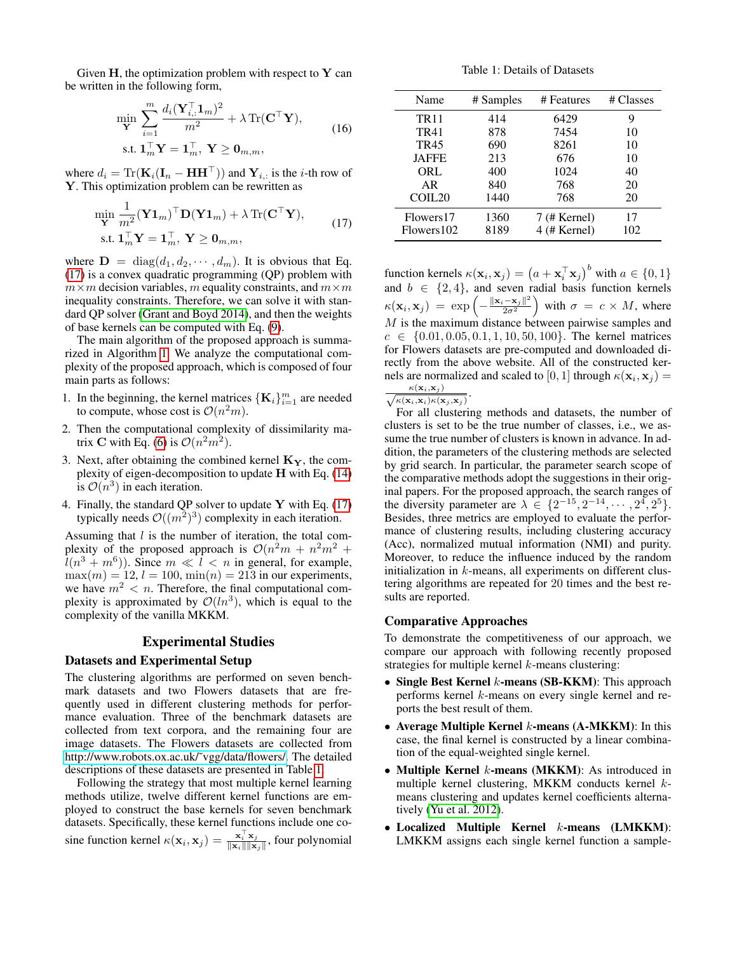Given  $H$ , the optimization problem with respect to  $Y$  can be written in the following form,

$$
\min_{\mathbf{Y}} \sum_{i=1}^{m} \frac{d_i(\mathbf{Y}_{i,:}^{\top} \mathbf{1}_m)^2}{m^2} + \lambda \operatorname{Tr}(\mathbf{C}^{\top} \mathbf{Y}),
$$
\n
$$
\text{s.t. } \mathbf{1}_m^{\top} \mathbf{Y} = \mathbf{1}_m^{\top}, \ \mathbf{Y} \ge \mathbf{0}_{m,m},
$$
\n
$$
(16)
$$

where  $d_i = \text{Tr}(\mathbf{K}_i(\mathbf{I}_n - \mathbf{H} \mathbf{H}^{\top}))$  and  $\mathbf{Y}_{i,:}$  is the *i*-th row of Y. This optimization problem can be rewritten as

<span id="page-4-0"></span>
$$
\begin{aligned} \min_{\mathbf{Y}} & \frac{1}{m^2} (\mathbf{Y} \mathbf{1}_m)^\top \mathbf{D} (\mathbf{Y} \mathbf{1}_m) + \lambda \operatorname{Tr} (\mathbf{C}^\top \mathbf{Y}), \\ \text{s.t. } & \mathbf{1}_m^\top \mathbf{Y} = \mathbf{1}_m^\top, \ \mathbf{Y} \ge \mathbf{0}_{m,m}, \end{aligned} \tag{17}
$$

where  $\mathbf{D} = \text{diag}(d_1, d_2, \cdots, d_m)$ . It is obvious that Eq. [\(17\)](#page-4-0) is a convex quadratic programming (QP) problem with  $m \times m$  decision variables, m equality constraints, and  $m \times m$ inequality constraints. Therefore, we can solve it with standard QP solver [\(Grant and Boyd 2014\)](#page-7-25), and then the weights of base kernels can be computed with Eq. [\(9\)](#page-3-4).

The main algorithm of the proposed approach is summarized in Algorithm [1.](#page-3-5) We analyze the computational complexity of the proposed approach, which is composed of four main parts as follows:

- 1. In the beginning, the kernel matrices  $\{K_i\}_{i=1}^m$  are needed to compute, whose cost is  $\mathcal{O}(n^2m)$ .
- 2. Then the computational complexity of dissimilarity matrix **C** with Eq. [\(6\)](#page-2-5) is  $\mathcal{O}(n^2m^2)$ .
- 3. Next, after obtaining the combined kernel  $\mathbf{K}_{\mathbf{Y}}$ , the complexity of eigen-decomposition to update H with Eq. [\(14\)](#page-3-0) is  $\mathcal{O}(n^3)$  in each iteration.
- 4. Finally, the standard QP solver to update  $Y$  with Eq. [\(17\)](#page-4-0) typically needs  $\mathcal{O}((m^2)^3)$  complexity in each iteration.

Assuming that  $l$  is the number of iteration, the total complexity of the proposed approach is  $\mathcal{O}(n^2m + n^2m^2 +$  $\hat{l}(n^3 + m^6)$ ). Since  $m \ll \hat{l} < n$  in general, for example,  $\max(m) = 12$ ,  $l = 100$ ,  $\min(n) = 213$  in our experiments, we have  $m^2 < n$ . Therefore, the final computational complexity is approximated by  $\mathcal{O}(ln^3)$ , which is equal to the complexity of the vanilla MKKM.

# Experimental Studies

#### Datasets and Experimental Setup

The clustering algorithms are performed on seven benchmark datasets and two Flowers datasets that are frequently used in different clustering methods for performance evaluation. Three of the benchmark datasets are collected from text corpora, and the remaining four are image datasets. The Flowers datasets are collected from [http://www.robots.ox.ac.uk/˜vgg/data/flowers/.](http://www.robots.ox.ac.uk/~vgg/data/flowers/) The detailed descriptions of these datasets are presented in Table [1.](#page-4-1)

Following the strategy that most multiple kernel learning methods utilize, twelve different kernel functions are employed to construct the base kernels for seven benchmark datasets. Specifically, these kernel functions include one cosine function kernel  $\kappa(\mathbf{x}_i, \mathbf{x}_j) = \frac{\mathbf{x}_i^{\mathrm{T}} \mathbf{x}_j}{\|\mathbf{x}_i\| \|\mathbf{x}_j\|}$ , four polynomial

Table 1: Details of Datasets

<span id="page-4-1"></span>

| Name               | # Samples | # Features     | # Classes |  |
|--------------------|-----------|----------------|-----------|--|
| <b>TR11</b>        | 414       | 6429           | 9         |  |
| TR41               | 878       | 7454           | 10        |  |
| <b>TR45</b>        | 690       | 8261           | 10        |  |
| <b>JAFFE</b>       | 213       | 676            | 10        |  |
| ORL                | 400       | 1024           | 40        |  |
| AR                 | 840       | 768            | 20        |  |
| COIL <sub>20</sub> | 1440      | 768            | 20        |  |
| Flowers17          | 1360      | $7$ (# Kernel) | 17        |  |
| Flowers 102        | 8189      | 4 (# Kernel)   | 102       |  |

function kernels  $\kappa(\mathbf{x}_i, \mathbf{x}_j) = \left(a + \mathbf{x}_i^{\top} \mathbf{x}_j\right)^b$  with  $a \in \{0, 1\}$ and  $b \in \{2, 4\}$ , and seven radial basis function kernels  $\kappa(\mathbf{x}_i, \mathbf{x}_j) = \exp \left(-\frac{\|\mathbf{x}_i - \mathbf{x}_j\|^2}{2\sigma^2}\right)$  $\left(\frac{-\mathbf{x}_j\|^2}{2\sigma^2}\right)$  with  $\sigma = c \times M$ , where  $M$  is the maximum distance between pairwise samples and  $c \in \{0.01, 0.05, 0.1, 1, 10, 50, 100\}$ . The kernel matrices for Flowers datasets are pre-computed and downloaded directly from the above website. All of the constructed kernels are normalized and scaled to  $[0,1]$  through  $\kappa(\mathbf{x}_i,\mathbf{x}_j) =$  $\kappa(\mathbf{x}_i, \mathbf{x}_j)$ .

 $\sqrt{\kappa(\mathbf{x}_i,\mathbf{x}_i)\kappa(\mathbf{x}_j,\mathbf{x}_j)}$ 

For all clustering methods and datasets, the number of clusters is set to be the true number of classes, i.e., we assume the true number of clusters is known in advance. In addition, the parameters of the clustering methods are selected by grid search. In particular, the parameter search scope of the comparative methods adopt the suggestions in their original papers. For the proposed approach, the search ranges of the diversity parameter are  $\lambda \in \{2^{-15}, 2^{-14}, \cdots, 2^{4}, 2^{5}\}.$ Besides, three metrics are employed to evaluate the performance of clustering results, including clustering accuracy (Acc), normalized mutual information (NMI) and purity. Moreover, to reduce the influence induced by the random initialization in  $k$ -means, all experiments on different clustering algorithms are repeated for 20 times and the best results are reported.

#### Comparative Approaches

To demonstrate the competitiveness of our approach, we compare our approach with following recently proposed strategies for multiple kernel  $k$ -means clustering:

- Single Best Kernel *k*-means (SB-KKM): This approach performs kernel k-means on every single kernel and reports the best result of them.
- Average Multiple Kernel  $k$ -means (A-MKKM): In this case, the final kernel is constructed by a linear combination of the equal-weighted single kernel.
- Multiple Kernel *k*-means (MKKM): As introduced in multiple kernel clustering, MKKM conducts kernel  $k$ means clustering and updates kernel coefficients alternatively [\(Yu et al. 2012\)](#page-7-26).
- Localized Multiple Kernel k-means (LMKKM): LMKKM assigns each single kernel function a sample-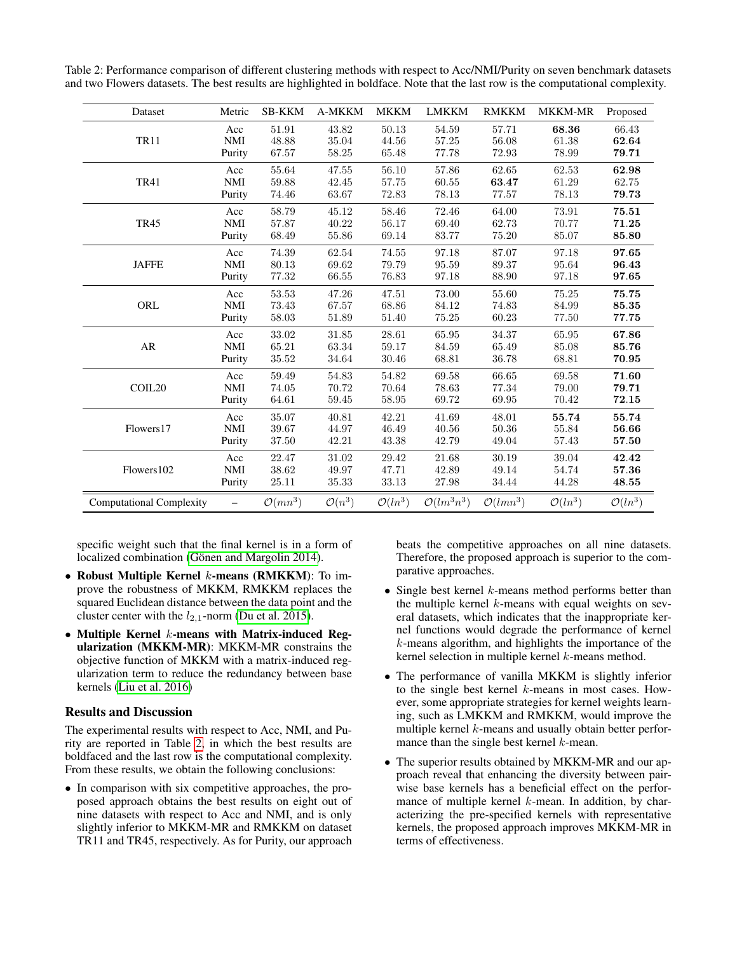<span id="page-5-0"></span>Table 2: Performance comparison of different clustering methods with respect to Acc/NMI/Purity on seven benchmark datasets and two Flowers datasets. The best results are highlighted in boldface. Note that the last row is the computational complexity.

| Dataset                         | Metric     | <b>SB-KKM</b>       | <b>A-MKKM</b>      | <b>MKKM</b>         | <b>LMKKM</b>           | <b>RMKKM</b>         | <b>MKKM-MR</b>      | Proposed            |
|---------------------------------|------------|---------------------|--------------------|---------------------|------------------------|----------------------|---------------------|---------------------|
| <b>TR11</b>                     | Acc        | 51.91               | 43.82              | 50.13               | 54.59                  | 57.71                | 68.36               | 66.43               |
|                                 | <b>NMI</b> | 48.88               | 35.04              | 44.56               | 57.25                  | 56.08                | 61.38               | 62.64               |
|                                 | Purity     | 67.57               | 58.25              | 65.48               | 77.78                  | 72.93                | 78.99               | 79.71               |
| <b>TR41</b>                     | Acc        | 55.64               | 47.55              | 56.10               | 57.86                  | 62.65                | 62.53               | 62.98               |
|                                 | <b>NMI</b> | 59.88               | 42.45              | 57.75               | 60.55                  | 63.47                | 61.29               | 62.75               |
|                                 | Purity     | 74.46               | 63.67              | 72.83               | 78.13                  | 77.57                | 78.13               | 79.73               |
| <b>TR45</b>                     | Acc        | 58.79               | 45.12              | 58.46               | 72.46                  | 64.00                | 73.91               | 75.51               |
|                                 | <b>NMI</b> | 57.87               | 40.22              | 56.17               | 69.40                  | 62.73                | 70.77               | 71.25               |
|                                 | Purity     | 68.49               | 55.86              | 69.14               | 83.77                  | 75.20                | 85.07               | 85.80               |
| <b>JAFFE</b>                    | Acc        | 74.39               | 62.54              | 74.55               | 97.18                  | 87.07                | 97.18               | 97.65               |
|                                 | <b>NMI</b> | 80.13               | 69.62              | 79.79               | 95.59                  | 89.37                | 95.64               | 96.43               |
|                                 | Purity     | 77.32               | 66.55              | 76.83               | 97.18                  | 88.90                | 97.18               | 97.65               |
| ORL                             | Acc        | 53.53               | 47.26              | 47.51               | 73.00                  | 55.60                | 75.25               | 75.75               |
|                                 | <b>NMI</b> | 73.43               | 67.57              | 68.86               | 84.12                  | 74.83                | 84.99               | 85.35               |
|                                 | Purity     | 58.03               | 51.89              | 51.40               | 75.25                  | 60.23                | 77.50               | 77.75               |
| AR                              | Acc        | 33.02               | 31.85              | 28.61               | 65.95                  | 34.37                | 65.95               | 67.86               |
|                                 | <b>NMI</b> | 65.21               | 63.34              | 59.17               | 84.59                  | 65.49                | 85.08               | 85.76               |
|                                 | Purity     | 35.52               | 34.64              | 30.46               | 68.81                  | 36.78                | 68.81               | 70.95               |
| COIL <sub>20</sub>              | Acc        | 59.49               | 54.83              | 54.82               | 69.58                  | 66.65                | 69.58               | 71.60               |
|                                 | <b>NMI</b> | 74.05               | 70.72              | 70.64               | 78.63                  | 77.34                | 79.00               | 79.71               |
|                                 | Purity     | 64.61               | 59.45              | 58.95               | 69.72                  | 69.95                | 70.42               | 72.15               |
| Flowers17                       | Acc        | 35.07               | 40.81              | 42.21               | 41.69                  | 48.01                | 55.74               | 55.74               |
|                                 | <b>NMI</b> | 39.67               | 44.97              | 46.49               | 40.56                  | 50.36                | 55.84               | 56.66               |
|                                 | Purity     | 37.50               | 42.21              | 43.38               | 42.79                  | 49.04                | 57.43               | 57.50               |
| Flowers102                      | Acc        | 22.47               | 31.02              | 29.42               | 21.68                  | 30.19                | 39.04               | 42.42               |
|                                 | <b>NMI</b> | 38.62               | 49.97              | 47.71               | 42.89                  | 49.14                | 54.74               | 57.36               |
|                                 | Purity     | 25.11               | 35.33              | 33.13               | 27.98                  | 34.44                | 44.28               | 48.55               |
| <b>Computational Complexity</b> | -          | $\mathcal{O}(mn^3)$ | $\mathcal{O}(n^3)$ | $\mathcal{O}(ln^3)$ | $\mathcal{O}(lm^3n^3)$ | $\mathcal{O}(lmn^3)$ | $\mathcal{O}(ln^3)$ | $\mathcal{O}(ln^3)$ |

specific weight such that the final kernel is in a form of localized combination (Gönen and Margolin 2014).

- Robust Multiple Kernel  $k$ -means (RMKKM): To improve the robustness of MKKM, RMKKM replaces the squared Euclidean distance between the data point and the cluster center with the  $l_{2,1}$ -norm [\(Du et al. 2015\)](#page-7-28).
- Multiple Kernel  $k$ -means with Matrix-induced Regularization (MKKM-MR): MKKM-MR constrains the objective function of MKKM with a matrix-induced regularization term to reduce the redundancy between base kernels [\(Liu et al. 2016\)](#page-7-17)

# Results and Discussion

The experimental results with respect to Acc, NMI, and Purity are reported in Table [2,](#page-5-0) in which the best results are boldfaced and the last row is the computational complexity. From these results, we obtain the following conclusions:

• In comparison with six competitive approaches, the proposed approach obtains the best results on eight out of nine datasets with respect to Acc and NMI, and is only slightly inferior to MKKM-MR and RMKKM on dataset TR11 and TR45, respectively. As for Purity, our approach

beats the competitive approaches on all nine datasets. Therefore, the proposed approach is superior to the comparative approaches.

- Single best kernel  $k$ -means method performs better than the multiple kernel  $k$ -means with equal weights on several datasets, which indicates that the inappropriate kernel functions would degrade the performance of kernel  $k$ -means algorithm, and highlights the importance of the kernel selection in multiple kernel k-means method.
- The performance of vanilla MKKM is slightly inferior to the single best kernel  $k$ -means in most cases. However, some appropriate strategies for kernel weights learning, such as LMKKM and RMKKM, would improve the multiple kernel  $k$ -means and usually obtain better performance than the single best kernel k-mean.
- The superior results obtained by MKKM-MR and our approach reveal that enhancing the diversity between pairwise base kernels has a beneficial effect on the performance of multiple kernel  $k$ -mean. In addition, by characterizing the pre-specified kernels with representative kernels, the proposed approach improves MKKM-MR in terms of effectiveness.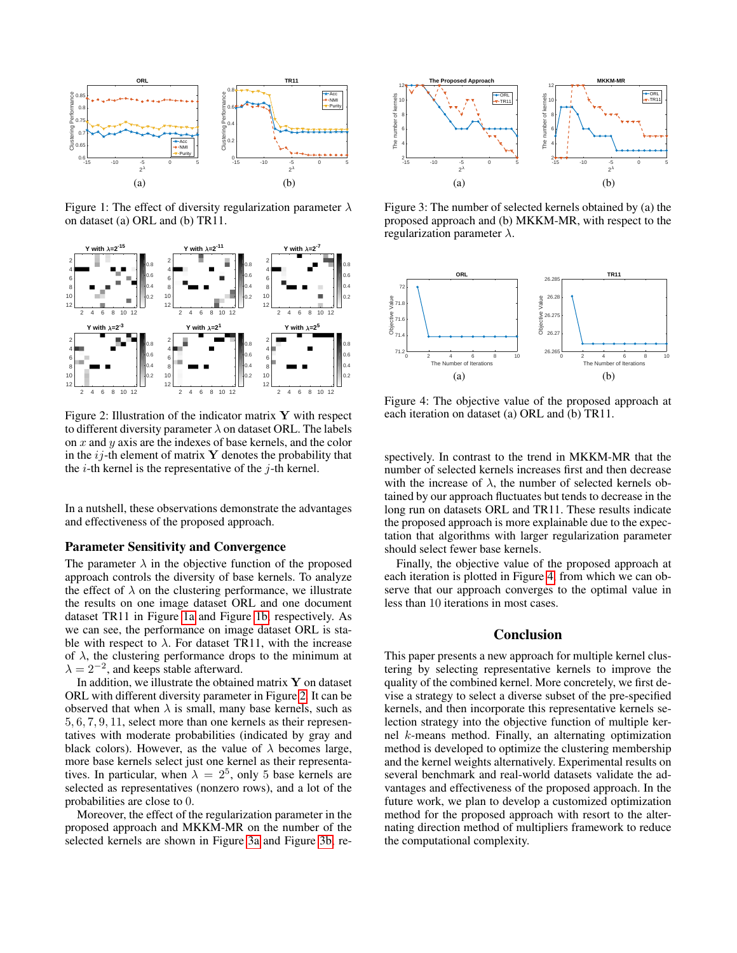<span id="page-6-0"></span>

<span id="page-6-1"></span>Figure 1: The effect of diversity regularization parameter  $\lambda$ on dataset (a) ORL and (b) TR11.

<span id="page-6-2"></span>

Figure 2: Illustration of the indicator matrix  $\bf{Y}$  with respect to different diversity parameter  $\lambda$  on dataset ORL. The labels on  $x$  and  $y$  axis are the indexes of base kernels, and the color in the  $ij$ -th element of matrix Y denotes the probability that the  $i$ -th kernel is the representative of the  $j$ -th kernel.

In a nutshell, these observations demonstrate the advantages and effectiveness of the proposed approach.

#### Parameter Sensitivity and Convergence

The parameter  $\lambda$  in the objective function of the proposed approach controls the diversity of base kernels. To analyze the effect of  $\lambda$  on the clustering performance, we illustrate the results on one image dataset ORL and one document dataset TR11 in Figure [1a](#page-6-0) and Figure [1b,](#page-6-1) respectively. As we can see, the performance on image dataset ORL is stable with respect to  $\lambda$ . For dataset TR11, with the increase of  $\lambda$ , the clustering performance drops to the minimum at  $\lambda = 2^{-2}$ , and keeps stable afterward.

In addition, we illustrate the obtained matrix  $\mathbf Y$  on dataset ORL with different diversity parameter in Figure [2.](#page-6-2) It can be observed that when  $\lambda$  is small, many base kernels, such as 5, 6, 7, 9, 11, select more than one kernels as their representatives with moderate probabilities (indicated by gray and black colors). However, as the value of  $\lambda$  becomes large, more base kernels select just one kernel as their representatives. In particular, when  $\lambda = 2^5$ , only 5 base kernels are selected as representatives (nonzero rows), and a lot of the probabilities are close to 0.

Moreover, the effect of the regularization parameter in the proposed approach and MKKM-MR on the number of the selected kernels are shown in Figure [3a](#page-6-3) and Figure [3b,](#page-6-4) re-

<span id="page-6-3"></span>

<span id="page-6-4"></span>Figure 3: The number of selected kernels obtained by (a) the proposed approach and (b) MKKM-MR, with respect to the regularization parameter  $\lambda$ .

<span id="page-6-5"></span>

Figure 4: The objective value of the proposed approach at each iteration on dataset (a) ORL and (b) TR11.

spectively. In contrast to the trend in MKKM-MR that the number of selected kernels increases first and then decrease with the increase of  $\lambda$ , the number of selected kernels obtained by our approach fluctuates but tends to decrease in the long run on datasets ORL and TR11. These results indicate the proposed approach is more explainable due to the expectation that algorithms with larger regularization parameter should select fewer base kernels.

Finally, the objective value of the proposed approach at each iteration is plotted in Figure [4,](#page-6-5) from which we can observe that our approach converges to the optimal value in less than 10 iterations in most cases.

### Conclusion

This paper presents a new approach for multiple kernel clustering by selecting representative kernels to improve the quality of the combined kernel. More concretely, we first devise a strategy to select a diverse subset of the pre-specified kernels, and then incorporate this representative kernels selection strategy into the objective function of multiple kernel k-means method. Finally, an alternating optimization method is developed to optimize the clustering membership and the kernel weights alternatively. Experimental results on several benchmark and real-world datasets validate the advantages and effectiveness of the proposed approach. In the future work, we plan to develop a customized optimization method for the proposed approach with resort to the alternating direction method of multipliers framework to reduce the computational complexity.